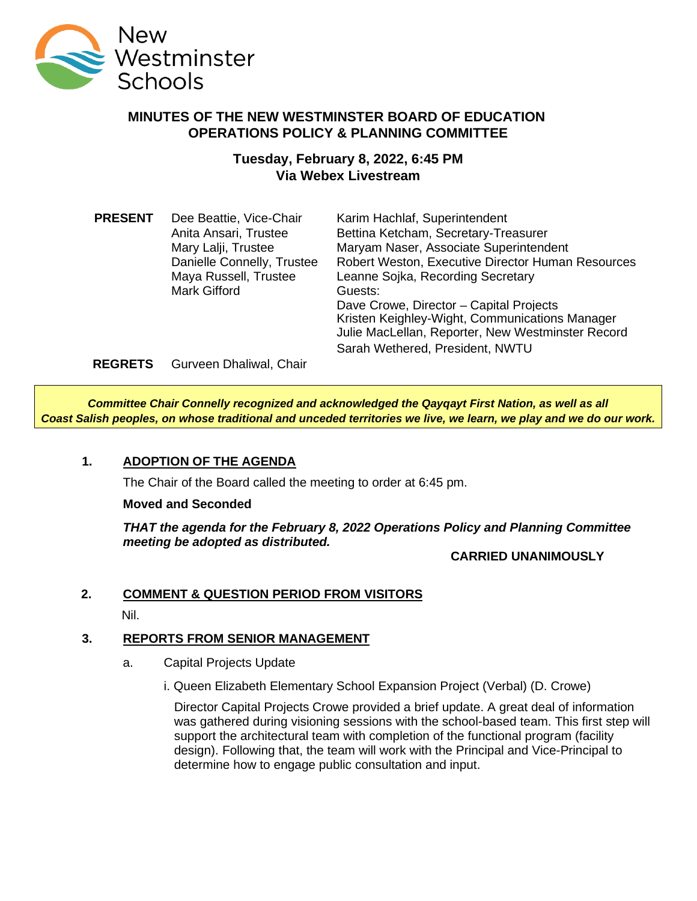

# **MINUTES OF THE NEW WESTMINSTER BOARD OF EDUCATION OPERATIONS POLICY & PLANNING COMMITTEE**

# **Tuesday, February 8, 2022, 6:45 PM Via Webex Livestream**

| <b>PRESENT</b> | Dee Beattie, Vice-Chair<br>Anita Ansari, Trustee<br>Mary Lalji, Trustee<br>Danielle Connelly, Trustee<br>Maya Russell, Trustee<br><b>Mark Gifford</b> | Karim Hachlaf, Superintendent<br>Bettina Ketcham, Secretary-Treasurer<br>Maryam Naser, Associate Superintendent<br>Robert Weston, Executive Director Human Resources<br>Leanne Sojka, Recording Secretary<br>Guests:<br>Dave Crowe, Director - Capital Projects<br>Kristen Keighley-Wight, Communications Manager<br>Julie MacLellan, Reporter, New Westminster Record |
|----------------|-------------------------------------------------------------------------------------------------------------------------------------------------------|------------------------------------------------------------------------------------------------------------------------------------------------------------------------------------------------------------------------------------------------------------------------------------------------------------------------------------------------------------------------|
|                |                                                                                                                                                       | Sarah Wethered, President, NWTU                                                                                                                                                                                                                                                                                                                                        |

### **REGRETS** Gurveen Dhaliwal, Chair

*Committee Chair Connelly recognized and acknowledged the Qayqayt First Nation, as well as all Coast Salish peoples, on whose traditional and unceded territories we live, we learn, we play and we do our work.*

### **1. ADOPTION OF THE AGENDA**

The Chair of the Board called the meeting to order at 6:45 pm.

**Moved and Seconded**

*THAT the agenda for the February 8, 2022 Operations Policy and Planning Committee meeting be adopted as distributed.*

### **CARRIED UNANIMOUSLY**

#### **2. COMMENT & QUESTION PERIOD FROM VISITORS**

Nil.

#### **3. REPORTS FROM SENIOR MANAGEMENT**

- a. Capital Projects Update
	- i. Queen Elizabeth Elementary School Expansion Project (Verbal) (D. Crowe)

Director Capital Projects Crowe provided a brief update. A great deal of information was gathered during visioning sessions with the school-based team. This first step will support the architectural team with completion of the functional program (facility design). Following that, the team will work with the Principal and Vice-Principal to determine how to engage public consultation and input.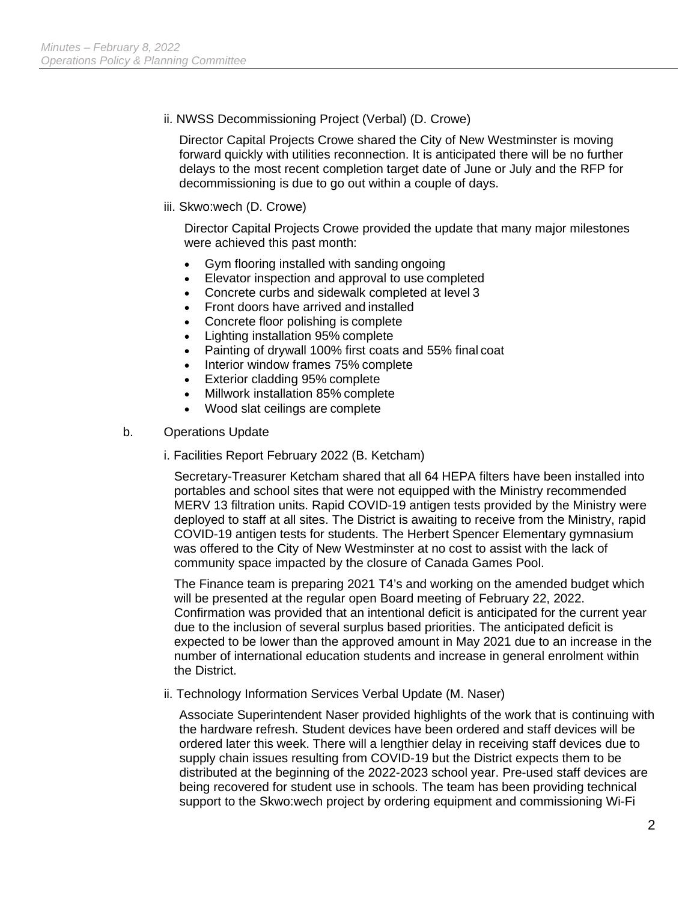ii. NWSS Decommissioning Project (Verbal) (D. Crowe)

Director Capital Projects Crowe shared the City of New Westminster is moving forward quickly with utilities reconnection. It is anticipated there will be no further delays to the most recent completion target date of June or July and the RFP for decommissioning is due to go out within a couple of days.

iii. Skwo:wech (D. Crowe)

Director Capital Projects Crowe provided the update that many major milestones were achieved this past month:

- Gym flooring installed with sanding ongoing
- Elevator inspection and approval to use completed
- Concrete curbs and sidewalk completed at level 3
- Front doors have arrived and installed
- Concrete floor polishing is complete
- Lighting installation 95% complete
- Painting of drywall 100% first coats and 55% final coat
- Interior window frames 75% complete
- Exterior cladding 95% complete
- Millwork installation 85% complete
- Wood slat ceilings are complete
- b. Operations Update
	- i. Facilities Report February 2022 (B. Ketcham)

Secretary-Treasurer Ketcham shared that all 64 HEPA filters have been installed into portables and school sites that were not equipped with the Ministry recommended MERV 13 filtration units. Rapid COVID-19 antigen tests provided by the Ministry were deployed to staff at all sites. The District is awaiting to receive from the Ministry, rapid COVID-19 antigen tests for students. The Herbert Spencer Elementary gymnasium was offered to the City of New Westminster at no cost to assist with the lack of community space impacted by the closure of Canada Games Pool.

The Finance team is preparing 2021 T4's and working on the amended budget which will be presented at the regular open Board meeting of February 22, 2022. Confirmation was provided that an intentional deficit is anticipated for the current year due to the inclusion of several surplus based priorities. The anticipated deficit is expected to be lower than the approved amount in May 2021 due to an increase in the number of international education students and increase in general enrolment within the District.

ii. Technology Information Services Verbal Update (M. Naser)

Associate Superintendent Naser provided highlights of the work that is continuing with the hardware refresh. Student devices have been ordered and staff devices will be ordered later this week. There will a lengthier delay in receiving staff devices due to supply chain issues resulting from COVID-19 but the District expects them to be distributed at the beginning of the 2022-2023 school year. Pre-used staff devices are being recovered for student use in schools. The team has been providing technical support to the Skwo:wech project by ordering equipment and commissioning Wi-Fi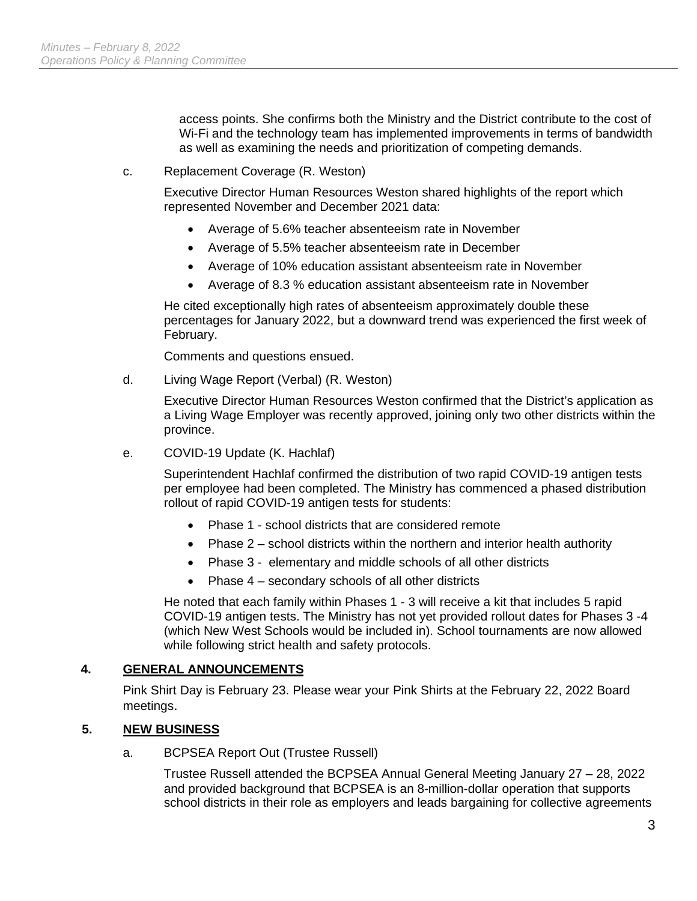access points. She confirms both the Ministry and the District contribute to the cost of Wi-Fi and the technology team has implemented improvements in terms of bandwidth as well as examining the needs and prioritization of competing demands.

c. Replacement Coverage (R. Weston)

Executive Director Human Resources Weston shared highlights of the report which represented November and December 2021 data:

- Average of 5.6% teacher absenteeism rate in November
- Average of 5.5% teacher absenteeism rate in December
- Average of 10% education assistant absenteeism rate in November
- Average of 8.3 % education assistant absenteeism rate in November

He cited exceptionally high rates of absenteeism approximately double these percentages for January 2022, but a downward trend was experienced the first week of February.

Comments and questions ensued.

d. Living Wage Report (Verbal) (R. Weston)

Executive Director Human Resources Weston confirmed that the District's application as a Living Wage Employer was recently approved, joining only two other districts within the province.

e. COVID-19 Update (K. Hachlaf)

Superintendent Hachlaf confirmed the distribution of two rapid COVID-19 antigen tests per employee had been completed. The Ministry has commenced a phased distribution rollout of rapid COVID-19 antigen tests for students:

- Phase 1 school districts that are considered remote
- Phase 2 school districts within the northern and interior health authority
- Phase 3 elementary and middle schools of all other districts
- Phase 4 secondary schools of all other districts

He noted that each family within Phases 1 - 3 will receive a kit that includes 5 rapid COVID-19 antigen tests. The Ministry has not yet provided rollout dates for Phases 3 -4 (which New West Schools would be included in). School tournaments are now allowed while following strict health and safety protocols.

#### **4. GENERAL ANNOUNCEMENTS**

Pink Shirt Day is February 23. Please wear your Pink Shirts at the February 22, 2022 Board meetings.

### **5. NEW BUSINESS**

a. BCPSEA Report Out (Trustee Russell)

Trustee Russell attended the BCPSEA Annual General Meeting January 27 – 28, 2022 and provided background that BCPSEA is an 8-million-dollar operation that supports school districts in their role as employers and leads bargaining for collective agreements